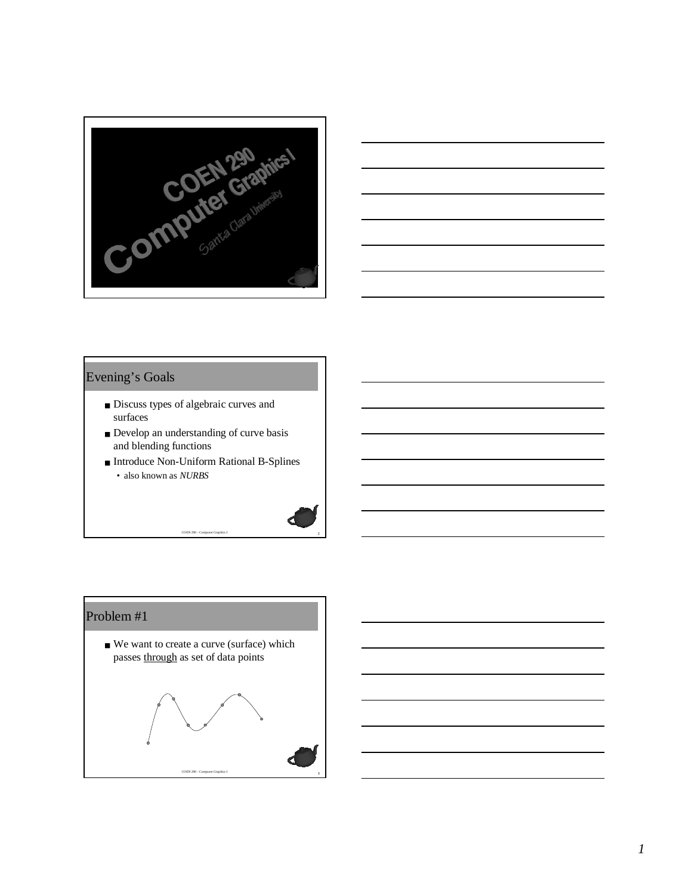



#### Evening's Goals

- Discuss types of algebraic curves and surfaces
- Develop an understanding of curve basis and blending functions
- Introduce Non-Uniform Rational B-Splines • also known as *NURBS*

<sup>2</sup> COEN 290 - Computer Graphics I



## Problem #1

■ We want to create a curve (surface) which passes through as set of data points

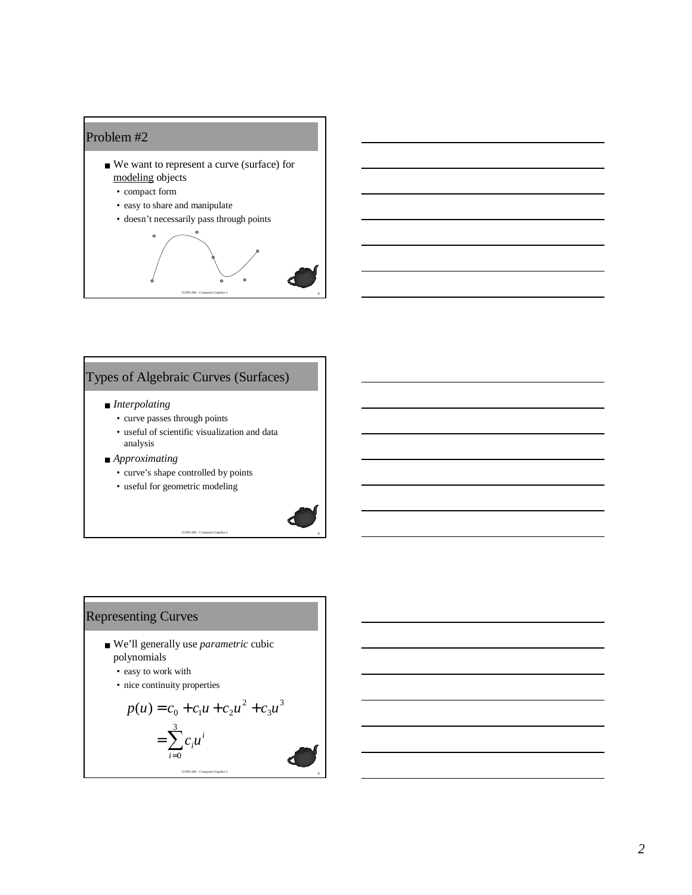



# Types of Algebraic Curves (Surfaces)

#### ■ *Interpolating*

- curve passes through points
- useful of scientific visualization and data analysis

- *Approximating*
	- curve's shape controlled by points
	- useful for geometric modeling



- We'll generally use *parametric* cubic polynomials
	- easy to work with
	- nice continuity properties

$$
p(u) = c_0 + c_1 u + c_2 u^2 + c_3 u^3
$$
  
= 
$$
\sum_{i=0}^{3} c_i u^i
$$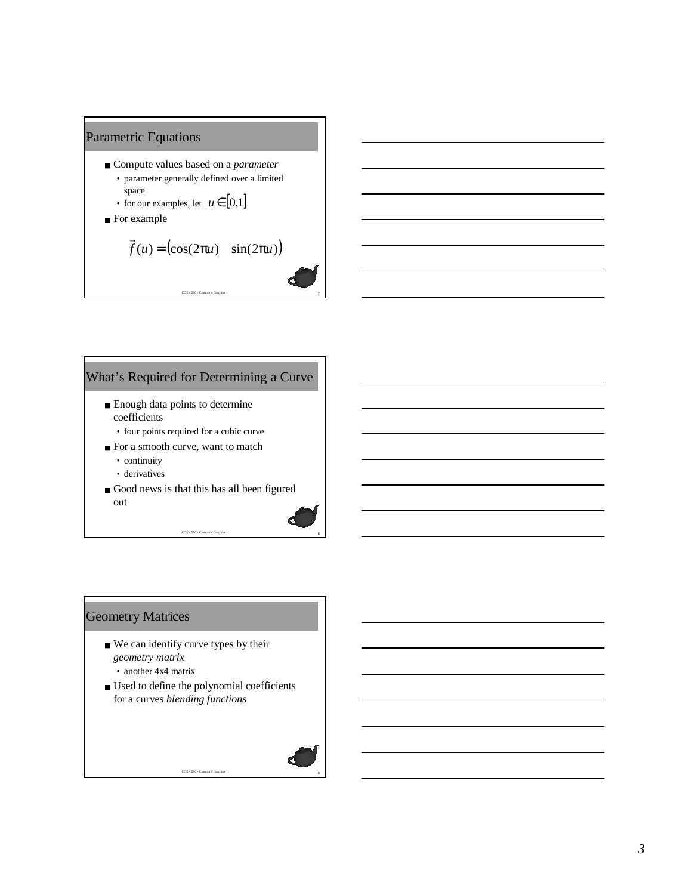

- Compute values based on a *parameter* • parameter generally defined over a limited
	- space • for our examples, let  $u \in [0,1]$
- For example

$$
\vec{f}(u) = (\cos(2\pi u) \quad \sin(2\pi u))
$$

<sup>7</sup> COEN 290 - Computer Graphics I

<sup>8</sup> COEN 290 - Computer Graphics I

### What's Required for Determining a Curve

- Enough data points to determine coefficients
	- four points required for a cubic curve
- For a smooth curve, want to match
	- continuity
	- derivatives
- Good news is that this has all been figured out

### Geometry Matrices

- We can identify curve types by their *geometry matrix*
	- another 4x4 matrix
- Used to define the polynomial coefficients for a curves *blending functions*

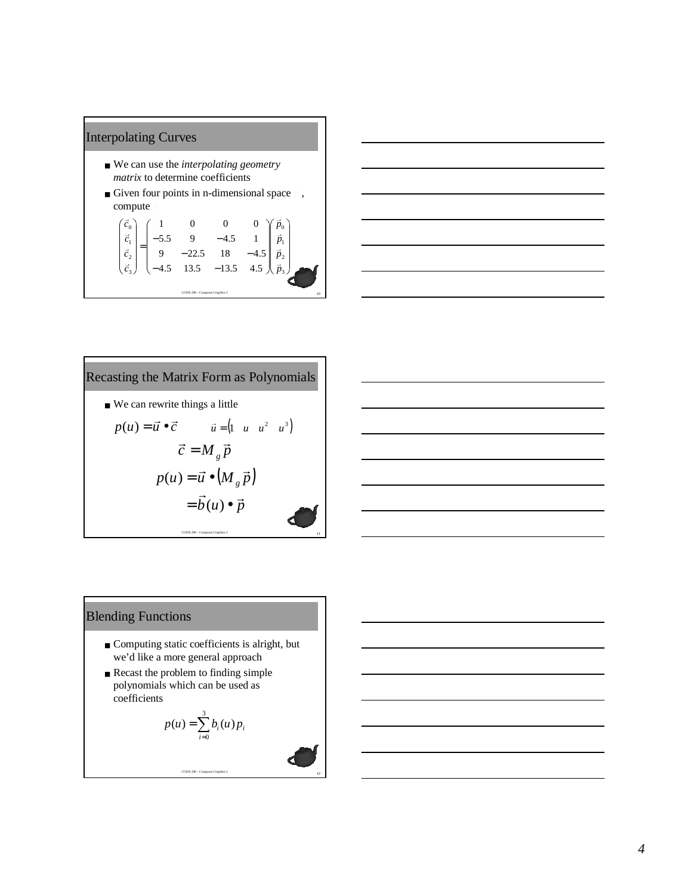## Interpolating Curves

- We can use the *interpolating geometry matrix* to determine coefficients
- **•** Given four points in n-dimensional space  $\phi$ , compute

| $\overline{\vec{c}}_1$         |  |                            |  |  | $\vec{p}_1$           |    |
|--------------------------------|--|----------------------------|--|--|-----------------------|----|
| $\rightarrow$                  |  | $-22.5$ 18<br>13.5 $-13.5$ |  |  | $\rightarrow$ $^{-1}$ |    |
| $\vec{c}$ .                    |  |                            |  |  | $\vec{n}$             |    |
|                                |  |                            |  |  |                       |    |
| COEN 290 - Computer Graphics I |  |                            |  |  |                       | 10 |





#### Blending Functions

- Computing static coefficients is alright, but we'd like a more general approach
- Recast the problem to finding simple polynomials which can be used as coefficients

$$
p(u) = \sum_{i=0}^{3} b_i(u) p_i
$$

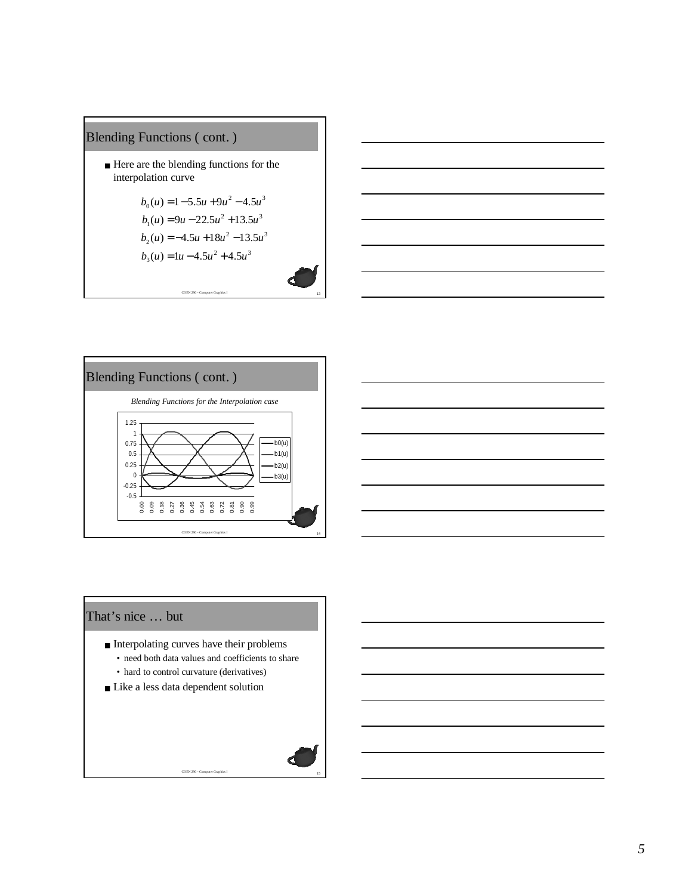## Blending Functions ( cont. )

■ Here are the blending functions for the interpolation curve

$$
b_0(u) = 1 - 5.5u + 9u^2 - 4.5u^3
$$
  
\n
$$
b_1(u) = 9u - 22.5u^2 + 13.5u^3
$$
  
\n
$$
b_2(u) = -4.5u + 18u^2 - 13.5u^3
$$
  
\n
$$
b_3(u) = 1u - 4.5u^2 + 4.5u^3
$$

<sup>13</sup> COEN 290 - Computer Graphics I

$$
\begin{array}{c}\n\hline\n\hline\n\end{array}
$$



#### That's nice … but

- Interpolating curves have their problems
	- need both data values and coefficients to share

- hard to control curvature (derivatives)
- Like a less data dependent solution

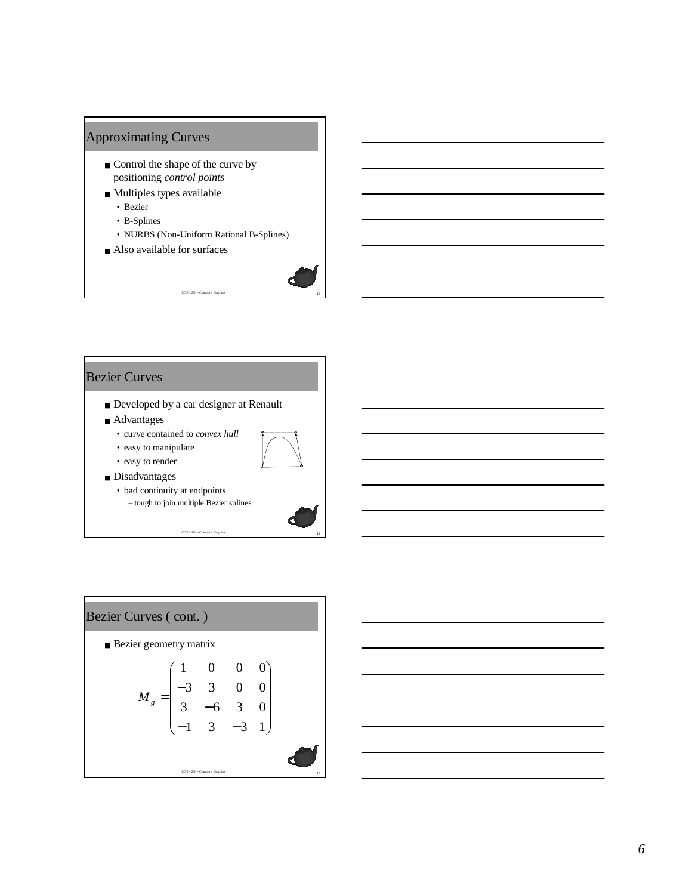### Approximating Curves

- Control the shape of the curve by positioning *control points*
- Multiples types available
	- Bezier
	- B-Splines
	- NURBS (Non-Uniform Rational B-Splines)
- Also available for surfaces



#### Bezier Curves

- Developed by a car designer at Renault
- Advantages
	- curve contained to *convex hull*
	- easy to manipulate



- easy to render ■ Disadvantages
	- bad continuity at endpoints – tough to join multiple Bezier splines





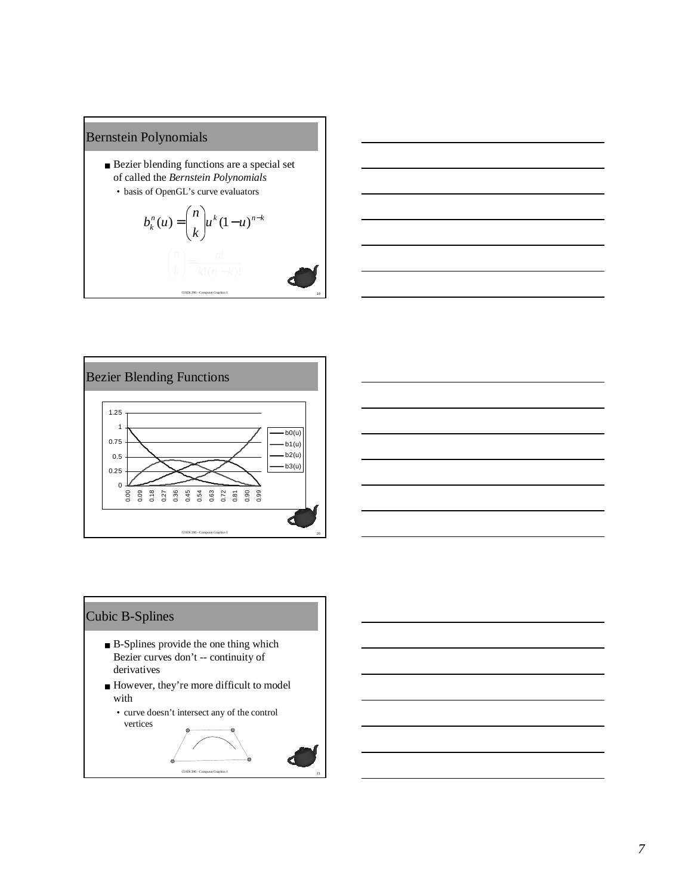### Bernstein Polynomials

- Bezier blending functions are a special set of called the *Bernstein Polynomials*
	- basis of OpenGL's curve evaluators







## Cubic B-Splines

- B-Splines provide the one thing which Bezier curves don't -- continuity of derivatives
- However, they're more difficult to model with
	- curve doesn't intersect any of the control vertices

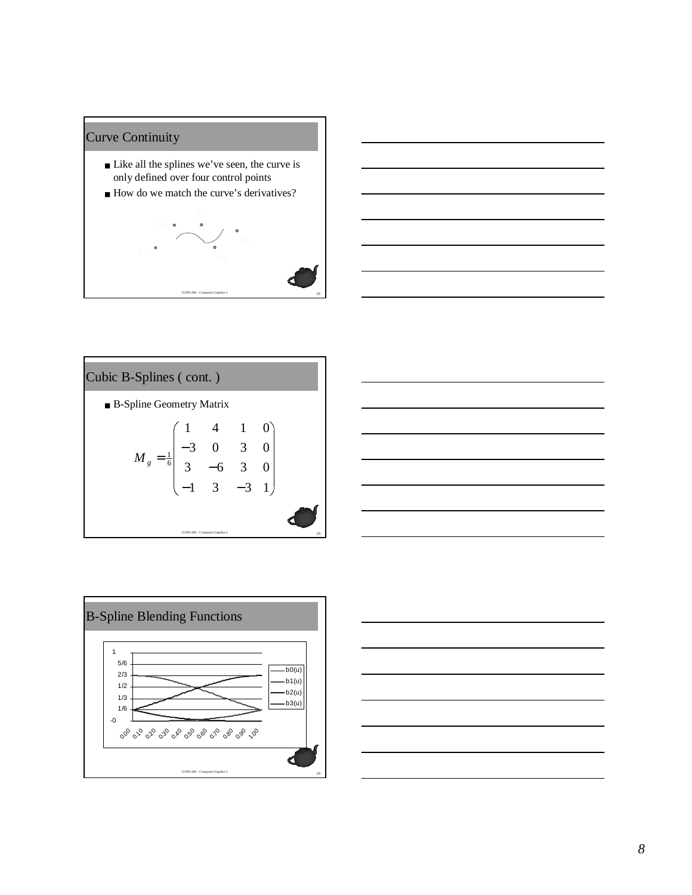### Curve Continuity

- Like all the splines we've seen, the curve is only defined over four control points
- How do we match the curve's derivatives?











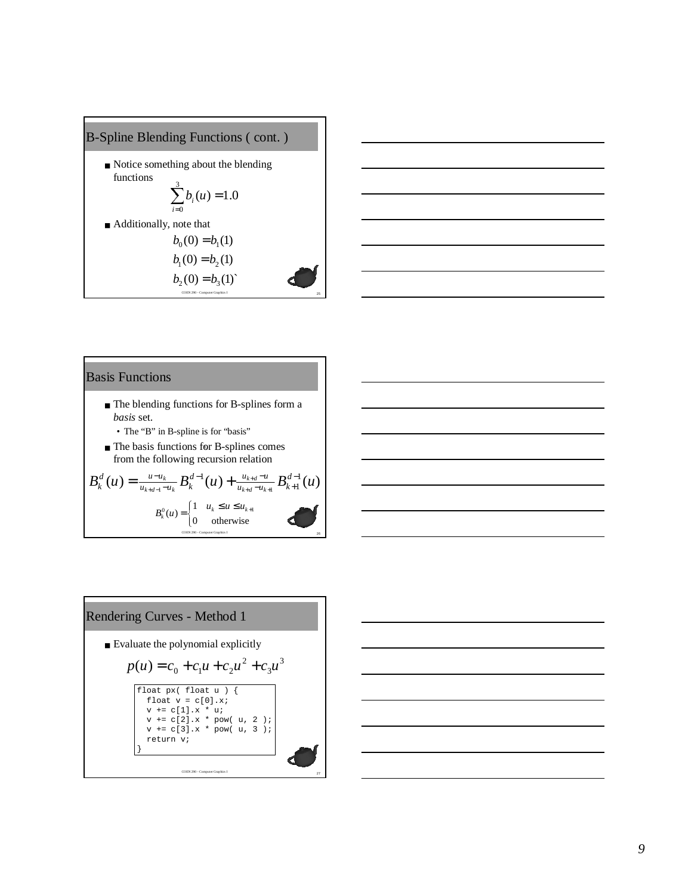



#### Basis Functions

- The blending functions for B-splines form a *basis* set.
	- The "B" in B-spline is for "basis"
- The basis functions for B-splines comes from the following recursion relation

The basis functions for B-splines comes  
\nfrom the following recursion relation  
\n
$$
B_k^d(u) = \frac{u - u_k}{u_{k+d-1} - u_k} B_k^{d-1}(u) + \frac{u_{k+d} - u_k}{u_{k+d} - u_{k+1}} B_{k+1}^{d-1}(u)
$$
\n
$$
B_k^0(u) = \begin{cases} 1 & u_k \le u \le u_{k+1} \\ 0 & \text{otherwise} \end{cases}
$$

Rendering Curves - Method 1

\nEvaluate the polynomial explicitly

\n
$$
p(u) = c_0 + c_1 u + c_2 u^2 + c_3 u^3
$$
\nfloat  $y \in [10at \, u]$ 

\nfloat  $y = c[0].x^*$ 

\nvi + c[1].x \* ui

\nv + c[2].x \* pow( u, 2 );

\nv + c[3].x \* pow( u, 3 );

\nreturn v;

\nOMN, 3

\nNot to the following equation:

\nConverse equation:

\nOutput

\nOutput

\nDescription: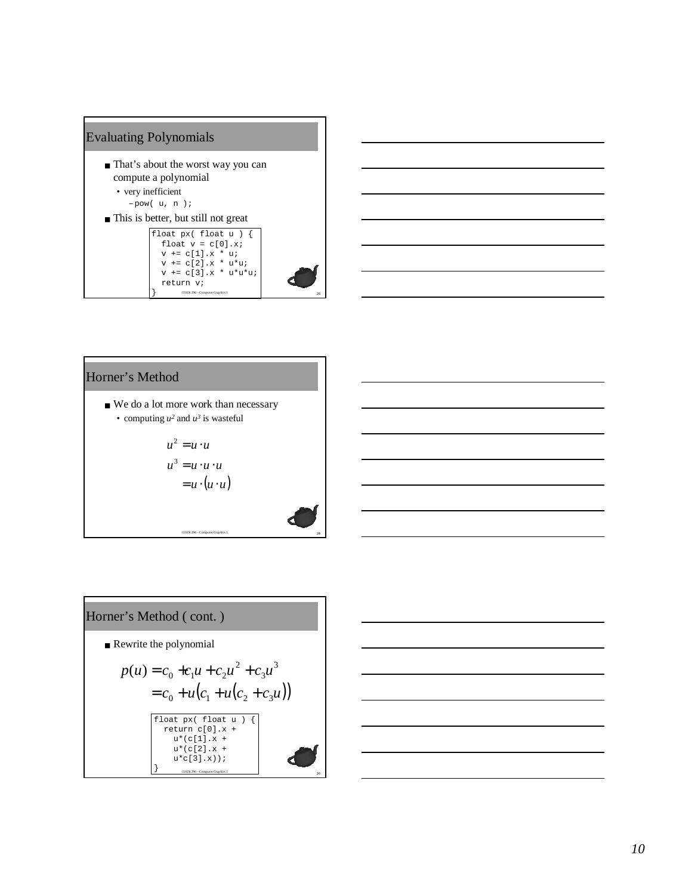



## Horner's Method

■ We do a lot more work than necessary • computing  $u^2$  and  $u^3$  is wasteful

$$
u2 = u \cdot u
$$
  

$$
u3 = u \cdot u \cdot u
$$
  

$$
= u \cdot (u \cdot u)
$$

Horner's Method (cont.)

\n■ Rewrite the polynomial

\n
$$
p(u) = c_0 + c_1 u + c_2 u^2 + c_3 u^3
$$
\n
$$
= c_0 + u(c_1 + u(c_2 + c_3 u))
$$
\n
$$
\left[\begin{array}{c}\text{float } px \text{ (float } u) & \text{[}\\\text{return } c[0], x + \text{if } u^*(c[1], x + \text{if } u^*(c[3], x))\\u^*(c[3], x)\text{]}\text{ (in the image of the image) for } u^*(c[3], x) \text{)}
$$
\n
$$
\text{or } u^*(c[3], x) \text{ (in the image of the image) for the image of the image.}
$$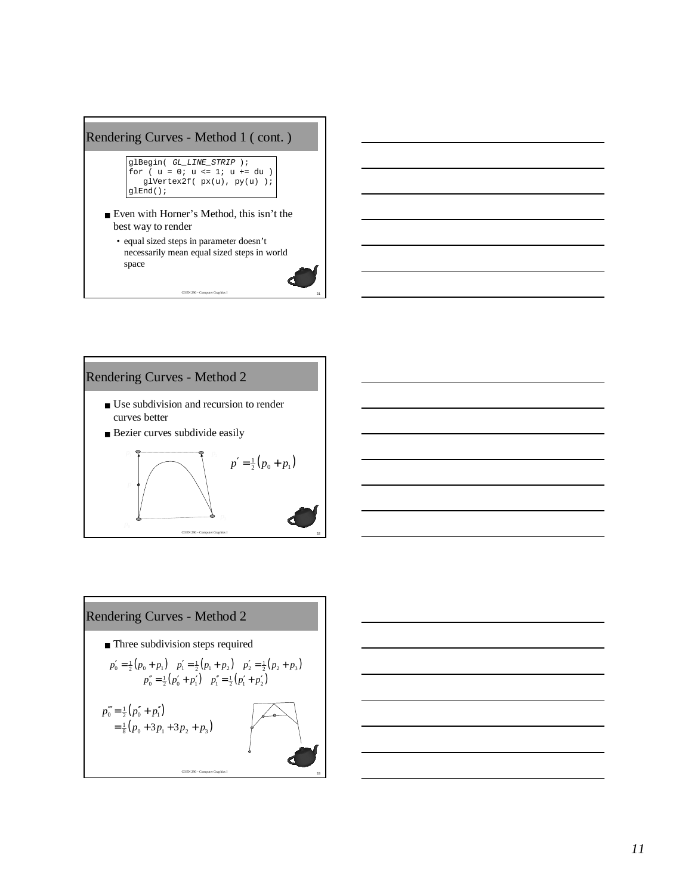# Rendering Curves - Method 1 ( cont. )

```
glBegin( GL_LINE_STRIP );
for ( u = 0; u <= 1; u += du )
  glVertex2f( px(u), py(u) );
glEnd();
```
■ Even with Horner's Method, this isn't the best way to render

• equal sized steps in parameter doesn't necessarily mean equal sized steps in world space



- Use subdivision and recursion to render curves better
- Bezier curves subdivide easily